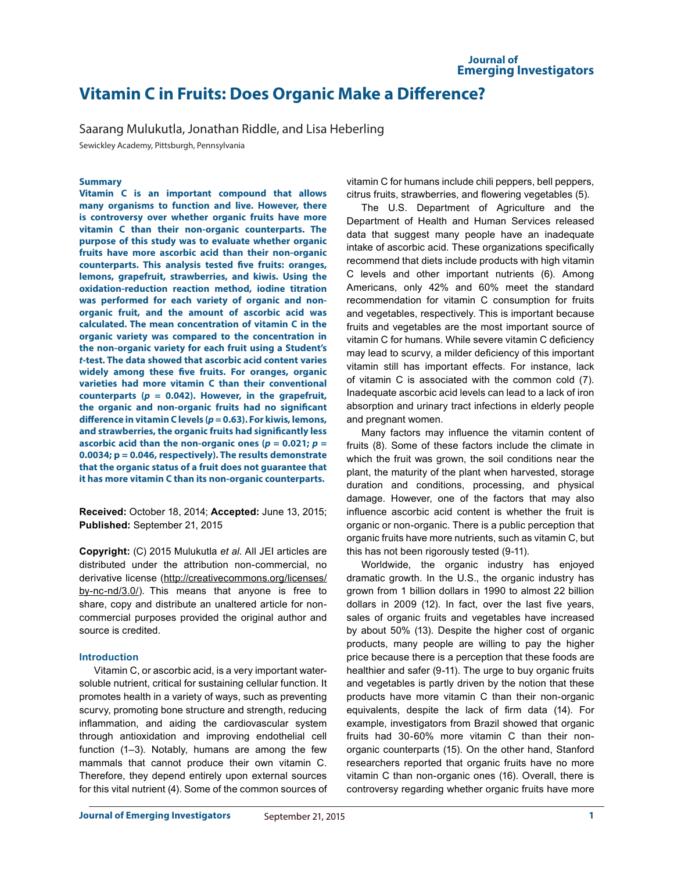# **Vitamin C in Fruits: Does Organic Make a Difference?**

Saarang Mulukutla, Jonathan Riddle, and Lisa Heberling

Sewickley Academy, Pittsburgh, Pennsylvania

## **Summary**

**Vitamin C is an important compound that allows many organisms to function and live. However, there is controversy over whether organic fruits have more vitamin C than their non-organic counterparts. The purpose of this study was to evaluate whether organic fruits have more ascorbic acid than their non-organic counterparts. This analysis tested five fruits: oranges, lemons, grapefruit, strawberries, and kiwis. Using the oxidation-reduction reaction method, iodine titration was performed for each variety of organic and nonorganic fruit, and the amount of ascorbic acid was calculated. The mean concentration of vitamin C in the organic variety was compared to the concentration in the non-organic variety for each fruit using a Student's**  *t***-test. The data showed that ascorbic acid content varies widely among these five fruits. For oranges, organic varieties had more vitamin C than their conventional counterparts (***p* **= 0.042). However, in the grapefruit, the organic and non-organic fruits had no significant difference in vitamin C levels (***p* **= 0.63). For kiwis, lemons, and strawberries, the organic fruits had significantly less ascorbic acid than the non-organic ones (** $p = 0.021$ **;**  $p =$ **0.0034; p = 0.046, respectively). The results demonstrate that the organic status of a fruit does not guarantee that it has more vitamin C than its non-organic counterparts.**

**Received:** October 18, 2014; **Accepted:** June 13, 2015; **Published:** September 21, 2015

**Copyright:** (C) 2015 Mulukutla *et al*. All JEI articles are distributed under the attribution non-commercial, no derivative license (http://creativecommons.org/licenses/ by-nc-nd/3.0/). This means that anyone is free to share, copy and distribute an unaltered article for noncommercial purposes provided the original author and source is credited.

## **Introduction**

Vitamin C, or ascorbic acid, is a very important watersoluble nutrient, critical for sustaining cellular function. It promotes health in a variety of ways, such as preventing scurvy, promoting bone structure and strength, reducing inflammation, and aiding the cardiovascular system through antioxidation and improving endothelial cell function (1–3). Notably, humans are among the few mammals that cannot produce their own vitamin C. Therefore, they depend entirely upon external sources for this vital nutrient (4). Some of the common sources of vitamin C for humans include chili peppers, bell peppers, citrus fruits, strawberries, and flowering vegetables (5).

The U.S. Department of Agriculture and the Department of Health and Human Services released data that suggest many people have an inadequate intake of ascorbic acid. These organizations specifically recommend that diets include products with high vitamin C levels and other important nutrients (6). Among Americans, only 42% and 60% meet the standard recommendation for vitamin C consumption for fruits and vegetables, respectively. This is important because fruits and vegetables are the most important source of vitamin C for humans. While severe vitamin C deficiency may lead to scurvy, a milder deficiency of this important vitamin still has important effects. For instance, lack of vitamin C is associated with the common cold (7). Inadequate ascorbic acid levels can lead to a lack of iron absorption and urinary tract infections in elderly people and pregnant women.

Many factors may influence the vitamin content of fruits (8). Some of these factors include the climate in which the fruit was grown, the soil conditions near the plant, the maturity of the plant when harvested, storage duration and conditions, processing, and physical damage. However, one of the factors that may also influence ascorbic acid content is whether the fruit is organic or non-organic. There is a public perception that organic fruits have more nutrients, such as vitamin C, but this has not been rigorously tested (9-11).

Worldwide, the organic industry has enjoyed dramatic growth. In the U.S., the organic industry has grown from 1 billion dollars in 1990 to almost 22 billion dollars in 2009 (12). In fact, over the last five years, sales of organic fruits and vegetables have increased by about 50% (13). Despite the higher cost of organic products, many people are willing to pay the higher price because there is a perception that these foods are healthier and safer (9-11). The urge to buy organic fruits and vegetables is partly driven by the notion that these products have more vitamin C than their non-organic equivalents, despite the lack of firm data (14). For example, investigators from Brazil showed that organic fruits had 30-60% more vitamin C than their nonorganic counterparts (15). On the other hand, Stanford researchers reported that organic fruits have no more vitamin C than non-organic ones (16). Overall, there is controversy regarding whether organic fruits have more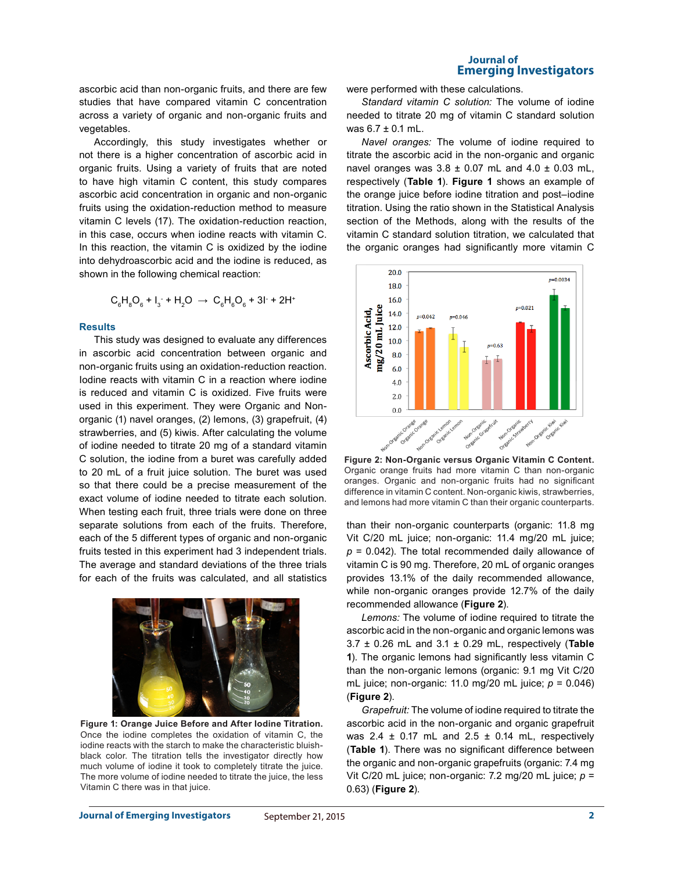**Journal of Emerging Investigators**

ascorbic acid than non-organic fruits, and there are few studies that have compared vitamin C concentration across a variety of organic and non-organic fruits and vegetables.

Accordingly, this study investigates whether or not there is a higher concentration of ascorbic acid in organic fruits. Using a variety of fruits that are noted to have high vitamin C content, this study compares ascorbic acid concentration in organic and non-organic fruits using the oxidation-reduction method to measure vitamin C levels (17). The oxidation-reduction reaction, in this case, occurs when iodine reacts with vitamin C. In this reaction, the vitamin C is oxidized by the iodine into dehydroascorbic acid and the iodine is reduced, as shown in the following chemical reaction:

$$
C_6H_8O_6 + I_3 + H_2O \rightarrow C_6H_6O_6 + 3I + 2H^+
$$

#### **Results**

This study was designed to evaluate any differences in ascorbic acid concentration between organic and non-organic fruits using an oxidation-reduction reaction. Iodine reacts with vitamin C in a reaction where iodine is reduced and vitamin C is oxidized. Five fruits were used in this experiment. They were Organic and Nonorganic (1) navel oranges, (2) lemons, (3) grapefruit, (4) strawberries, and (5) kiwis. After calculating the volume of iodine needed to titrate 20 mg of a standard vitamin C solution, the iodine from a buret was carefully added to 20 mL of a fruit juice solution. The buret was used so that there could be a precise measurement of the exact volume of iodine needed to titrate each solution. When testing each fruit, three trials were done on three separate solutions from each of the fruits. Therefore, each of the 5 different types of organic and non-organic fruits tested in this experiment had 3 independent trials. The average and standard deviations of the three trials for each of the fruits was calculated, and all statistics



**Figure 1: Orange Juice Before and After Iodine Titration.** Once the iodine completes the oxidation of vitamin C, the iodine reacts with the starch to make the characteristic bluishblack color. The titration tells the investigator directly how much volume of iodine it took to completely titrate the juice. The more volume of iodine needed to titrate the juice, the less Vitamin C there was in that juice.

were performed with these calculations.

*Standard vitamin C solution:* The volume of iodine needed to titrate 20 mg of vitamin C standard solution was 6.7 ± 0.1 mL.

*Navel oranges:* The volume of iodine required to titrate the ascorbic acid in the non-organic and organic navel oranges was  $3.8 \pm 0.07$  mL and  $4.0 \pm 0.03$  mL, respectively (**Table 1**). **Figure 1** shows an example of the orange juice before iodine titration and post–iodine titration. Using the ratio shown in the Statistical Analysis section of the Methods, along with the results of the vitamin C standard solution titration, we calculated that the organic oranges had significantly more vitamin C



**Figure 2: Non-Organic versus Organic Vitamin C Content.** Organic orange fruits had more vitamin C than non-organic oranges. Organic and non-organic fruits had no significant difference in vitamin C content. Non-organic kiwis, strawberries, and lemons had more vitamin C than their organic counterparts.

than their non-organic counterparts (organic: 11.8 mg Vit C/20 mL juice; non-organic: 11.4 mg/20 mL juice;  $p = 0.042$ ). The total recommended daily allowance of vitamin C is 90 mg. Therefore, 20 mL of organic oranges provides 13.1% of the daily recommended allowance, while non-organic oranges provide 12.7% of the daily recommended allowance (**Figure 2**).

*Lemons:* The volume of iodine required to titrate the ascorbic acid in the non-organic and organic lemons was 3.7 ± 0.26 mL and 3.1 ± 0.29 mL, respectively (**Table 1**). The organic lemons had significantly less vitamin C than the non-organic lemons (organic: 9.1 mg Vit C/20 mL juice; non-organic: 11.0 mg/20 mL juice; *p* = 0.046) (**Figure 2**).

*Grapefruit:* The volume of iodine required to titrate the ascorbic acid in the non-organic and organic grapefruit was 2.4  $\pm$  0.17 mL and 2.5  $\pm$  0.14 mL, respectively (**Table 1**). There was no significant difference between the organic and non-organic grapefruits (organic: 7.4 mg Vit C/20 mL juice; non-organic: 7.2 mg/20 mL juice; *p* = 0.63) (**Figure 2**).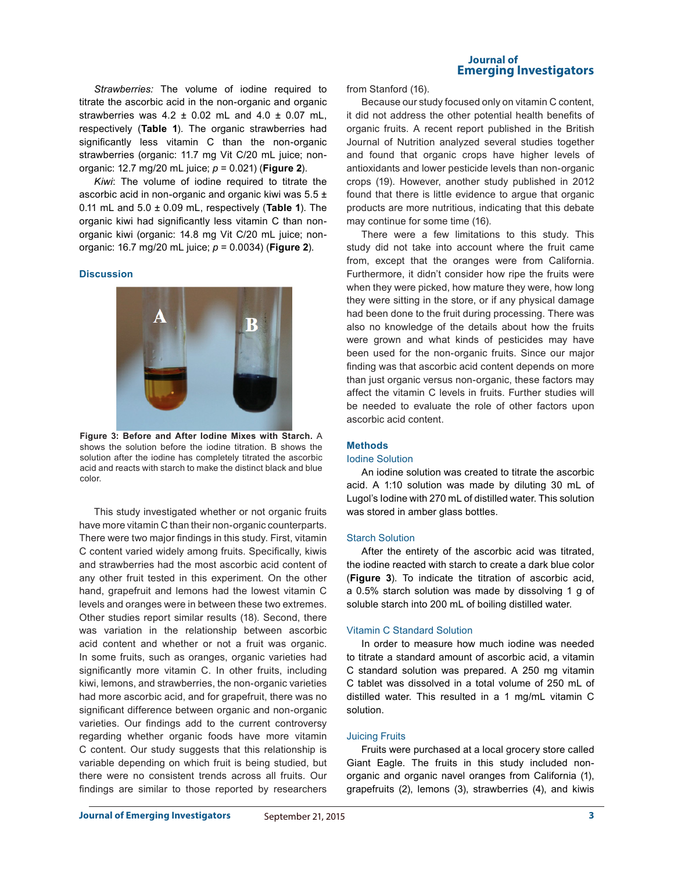*Strawberries:* The volume of iodine required to titrate the ascorbic acid in the non-organic and organic strawberries was  $4.2 \pm 0.02$  mL and  $4.0 \pm 0.07$  mL, respectively (**Table 1**). The organic strawberries had significantly less vitamin C than the non-organic strawberries (organic: 11.7 mg Vit C/20 mL juice; nonorganic: 12.7 mg/20 mL juice; *p* = 0.021) (**Figure 2**).

*Kiwi*: The volume of iodine required to titrate the ascorbic acid in non-organic and organic kiwi was  $5.5 \pm$ 0.11 mL and 5.0 ± 0.09 mL, respectively (**Table 1**). The organic kiwi had significantly less vitamin C than nonorganic kiwi (organic: 14.8 mg Vit C/20 mL juice; nonorganic: 16.7 mg/20 mL juice; *p* = 0.0034) (**Figure 2**).

#### **Discussion**



**Figure 3: Before and After Iodine Mixes with Starch.** A shows the solution before the iodine titration. B shows the solution after the iodine has completely titrated the ascorbic acid and reacts with starch to make the distinct black and blue color.

This study investigated whether or not organic fruits have more vitamin C than their non-organic counterparts. There were two major findings in this study. First, vitamin C content varied widely among fruits. Specifically, kiwis and strawberries had the most ascorbic acid content of any other fruit tested in this experiment. On the other hand, grapefruit and lemons had the lowest vitamin C levels and oranges were in between these two extremes. Other studies report similar results (18). Second, there was variation in the relationship between ascorbic acid content and whether or not a fruit was organic. In some fruits, such as oranges, organic varieties had significantly more vitamin C. In other fruits, including kiwi, lemons, and strawberries, the non-organic varieties had more ascorbic acid, and for grapefruit, there was no significant difference between organic and non-organic varieties. Our findings add to the current controversy regarding whether organic foods have more vitamin C content. Our study suggests that this relationship is variable depending on which fruit is being studied, but there were no consistent trends across all fruits. Our findings are similar to those reported by researchers

#### **Journal of Emerging Investigators**

from Stanford (16).

Because our study focused only on vitamin C content, it did not address the other potential health benefits of organic fruits. A recent report published in the British Journal of Nutrition analyzed several studies together and found that organic crops have higher levels of antioxidants and lower pesticide levels than non-organic crops (19). However, another study published in 2012 found that there is little evidence to argue that organic products are more nutritious, indicating that this debate may continue for some time (16).

There were a few limitations to this study. This study did not take into account where the fruit came from, except that the oranges were from California. Furthermore, it didn't consider how ripe the fruits were when they were picked, how mature they were, how long they were sitting in the store, or if any physical damage had been done to the fruit during processing. There was also no knowledge of the details about how the fruits were grown and what kinds of pesticides may have been used for the non-organic fruits. Since our major finding was that ascorbic acid content depends on more than just organic versus non-organic, these factors may affect the vitamin C levels in fruits. Further studies will be needed to evaluate the role of other factors upon ascorbic acid content.

#### **Methods**

#### Iodine Solution

An iodine solution was created to titrate the ascorbic acid. A 1:10 solution was made by diluting 30 mL of Lugol's Iodine with 270 mL of distilled water. This solution was stored in amber glass bottles.

#### Starch Solution

After the entirety of the ascorbic acid was titrated, the iodine reacted with starch to create a dark blue color (**Figure 3**). To indicate the titration of ascorbic acid, a 0.5% starch solution was made by dissolving 1 g of soluble starch into 200 mL of boiling distilled water.

#### Vitamin C Standard Solution

In order to measure how much iodine was needed to titrate a standard amount of ascorbic acid, a vitamin C standard solution was prepared. A 250 mg vitamin C tablet was dissolved in a total volume of 250 mL of distilled water. This resulted in a 1 mg/mL vitamin C solution.

#### Juicing Fruits

Fruits were purchased at a local grocery store called Giant Eagle. The fruits in this study included nonorganic and organic navel oranges from California (1), grapefruits (2), lemons (3), strawberries (4), and kiwis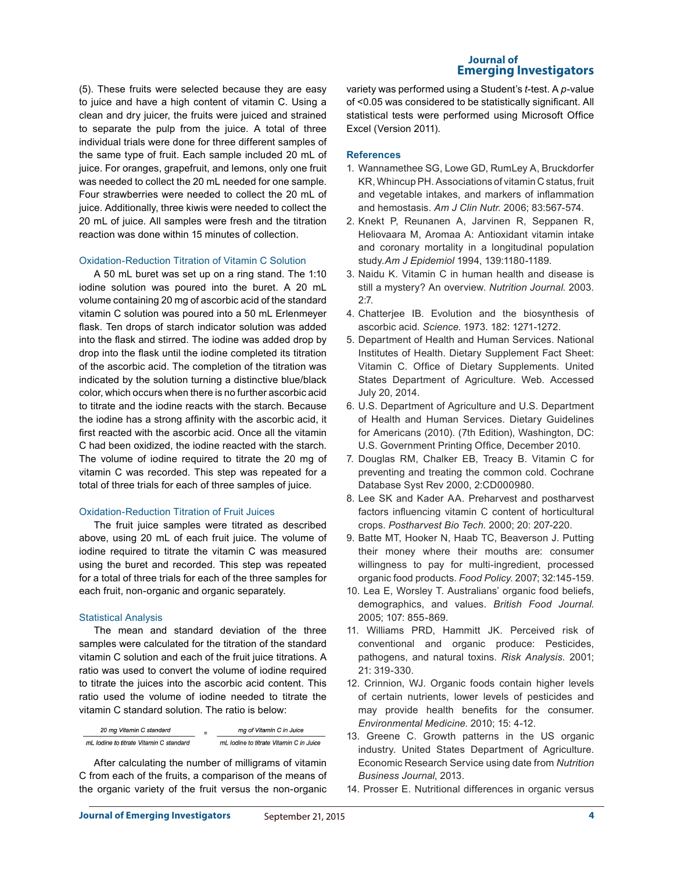(5). These fruits were selected because they are easy to juice and have a high content of vitamin C. Using a clean and dry juicer, the fruits were juiced and strained to separate the pulp from the juice. A total of three individual trials were done for three different samples of the same type of fruit. Each sample included 20 mL of juice. For oranges, grapefruit, and lemons, only one fruit was needed to collect the 20 mL needed for one sample. Four strawberries were needed to collect the 20 mL of juice. Additionally, three kiwis were needed to collect the 20 mL of juice. All samples were fresh and the titration reaction was done within 15 minutes of collection.

## Oxidation-Reduction Titration of Vitamin C Solution

A 50 mL buret was set up on a ring stand. The 1:10 iodine solution was poured into the buret. A 20 mL volume containing 20 mg of ascorbic acid of the standard vitamin C solution was poured into a 50 mL Erlenmeyer flask. Ten drops of starch indicator solution was added into the flask and stirred. The iodine was added drop by drop into the flask until the iodine completed its titration of the ascorbic acid. The completion of the titration was indicated by the solution turning a distinctive blue/black color, which occurs when there is no further ascorbic acid to titrate and the iodine reacts with the starch. Because the iodine has a strong affinity with the ascorbic acid, it first reacted with the ascorbic acid. Once all the vitamin C had been oxidized, the iodine reacted with the starch. The volume of iodine required to titrate the 20 mg of vitamin C was recorded. This step was repeated for a total of three trials for each of three samples of juice.

#### Oxidation-Reduction Titration of Fruit Juices

The fruit juice samples were titrated as described above, using 20 mL of each fruit juice. The volume of iodine required to titrate the vitamin C was measured using the buret and recorded. This step was repeated for a total of three trials for each of the three samples for each fruit, non-organic and organic separately.

## Statistical Analysis

The mean and standard deviation of the three samples were calculated for the titration of the standard vitamin C solution and each of the fruit juice titrations. A ratio was used to convert the volume of iodine required to titrate the juices into the ascorbic acid content. This ratio used the volume of iodine needed to titrate the vitamin C standard solution. The ratio is below:

| 20 mg Vitamin C standard                | mg of Vitamin C in Juice                |
|-----------------------------------------|-----------------------------------------|
| mL lodine to titrate Vitamin C standard | mL lodine to titrate Vitamin C in Juice |

After calculating the number of milligrams of vitamin C from each of the fruits, a comparison of the means of the organic variety of the fruit versus the non-organic

## **Journal of Emerging Investigators**

variety was performed using a Student's *t*-test. A *p*-value of <0.05 was considered to be statistically significant. All statistical tests were performed using Microsoft Office Excel (Version 2011).

#### **References**

- 1. Wannamethee SG, Lowe GD, RumLey A, Bruckdorfer KR, Whincup PH. Associations of vitamin C status, fruit and vegetable intakes, and markers of inflammation and hemostasis. *Am J Clin Nutr.* 2006; 83:567-574.
- 2. Knekt P, Reunanen A, Jarvinen R, Seppanen R, Heliovaara M, Aromaa A: Antioxidant vitamin intake and coronary mortality in a longitudinal population study.*Am J Epidemiol* 1994, 139:1180-1189.
- 3. Naidu K. Vitamin C in human health and disease is still a mystery? An overview. *Nutrition Journal*. 2003.  $2.7.$
- 4. Chatterjee IB. Evolution and the biosynthesis of ascorbic acid. *Science*. 1973. 182: 1271-1272.
- 5. Department of Health and Human Services. National Institutes of Health. Dietary Supplement Fact Sheet: Vitamin C. Office of Dietary Supplements. United States Department of Agriculture. Web. Accessed July 20, 2014.
- 6. U.S. Department of Agriculture and U.S. Department of Health and Human Services. Dietary Guidelines for Americans (2010). (7th Edition), Washington, DC: U.S. Government Printing Office, December 2010.
- 7. Douglas RM, Chalker EB, Treacy B. Vitamin C for preventing and treating the common cold. Cochrane Database Syst Rev 2000, 2:CD000980.
- 8. Lee SK and Kader AA. Preharvest and postharvest factors influencing vitamin C content of horticultural crops. *Postharvest Bio Tech.* 2000; 20: 207-220.
- 9. Batte MT, Hooker N, Haab TC, Beaverson J. Putting their money where their mouths are: consumer willingness to pay for multi-ingredient, processed organic food products. *Food Policy*. 2007; 32:145-159.
- 10. Lea E, Worsley T. Australians' organic food beliefs, demographics, and values. *British Food Journal*. 2005; 107: 855-869.
- 11. Williams PRD, Hammitt JK. Perceived risk of conventional and organic produce: Pesticides, pathogens, and natural toxins. *Risk Analysis.* 2001; 21: 319-330.
- 12. Crinnion, WJ. Organic foods contain higher levels of certain nutrients, lower levels of pesticides and may provide health benefits for the consumer. *Environmental Medicine*. 2010; 15: 4-12.
- 13. Greene C. Growth patterns in the US organic industry. United States Department of Agriculture. Economic Research Service using date from *Nutrition Business Journal*, 2013.
- 14. Prosser E. Nutritional differences in organic versus